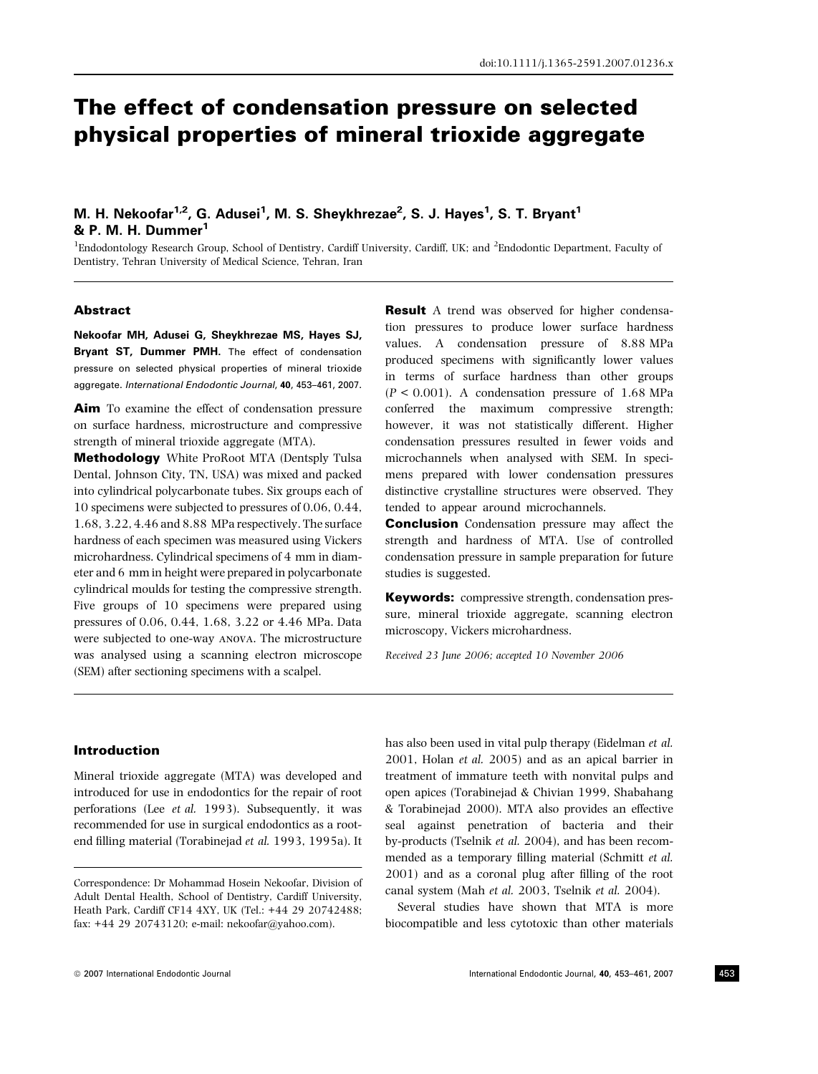# The effect of condensation pressure on selected physical properties of mineral trioxide aggregate

# M. H. Nekoofar<sup>1,2</sup>, G. Adusei<sup>1</sup>, M. S. Sheykhrezae<sup>2</sup>, S. J. Hayes<sup>1</sup>, S. T. Bryant<sup>1</sup> & P. M. H. Dummer<sup>1</sup>

<sup>1</sup>Endodontology Research Group, School of Dentistry, Cardiff University, Cardiff, UK; and <sup>2</sup>Endodontic Department, Faculty of Dentistry, Tehran University of Medical Science, Tehran, Iran

#### Abstract

Nekoofar MH, Adusei G, Sheykhrezae MS, Hayes SJ, Bryant ST, Dummer PMH. The effect of condensation pressure on selected physical properties of mineral trioxide aggregate. International Endodontic Journal, 40, 453–461, 2007.

Aim To examine the effect of condensation pressure on surface hardness, microstructure and compressive strength of mineral trioxide aggregate (MTA).

Methodology White ProRoot MTA (Dentsply Tulsa Dental, Johnson City, TN, USA) was mixed and packed into cylindrical polycarbonate tubes. Six groups each of 10 specimens were subjected to pressures of 0.06, 0.44, 1.68, 3.22, 4.46 and 8.88 MPa respectively. The surface hardness of each specimen was measured using Vickers microhardness. Cylindrical specimens of 4 mm in diameter and 6 mm in height were prepared in polycarbonate cylindrical moulds for testing the compressive strength. Five groups of 10 specimens were prepared using pressures of 0.06, 0.44, 1.68, 3.22 or 4.46 MPa. Data were subjected to one-way anova. The microstructure was analysed using a scanning electron microscope (SEM) after sectioning specimens with a scalpel.

**Result** A trend was observed for higher condensation pressures to produce lower surface hardness values. A condensation pressure of 8.88 MPa produced specimens with significantly lower values in terms of surface hardness than other groups  $(P < 0.001)$ . A condensation pressure of 1.68 MPa conferred the maximum compressive strength; however, it was not statistically different. Higher condensation pressures resulted in fewer voids and microchannels when analysed with SEM. In specimens prepared with lower condensation pressures distinctive crystalline structures were observed. They tended to appear around microchannels.

**Conclusion** Condensation pressure may affect the strength and hardness of MTA. Use of controlled condensation pressure in sample preparation for future studies is suggested.

Keywords: compressive strength, condensation pressure, mineral trioxide aggregate, scanning electron microscopy, Vickers microhardness.

Received 23 June 2006; accepted 10 November 2006

# Introduction

Mineral trioxide aggregate (MTA) was developed and introduced for use in endodontics for the repair of root perforations (Lee et al. 1993). Subsequently, it was recommended for use in surgical endodontics as a rootend filling material (Torabinejad et al. 1993, 1995a). It has also been used in vital pulp therapy (Eidelman et al. 2001, Holan et al. 2005) and as an apical barrier in treatment of immature teeth with nonvital pulps and open apices (Torabinejad & Chivian 1999, Shabahang & Torabinejad 2000). MTA also provides an effective seal against penetration of bacteria and their by-products (Tselnik et al. 2004), and has been recommended as a temporary filling material (Schmitt et al. 2001) and as a coronal plug after filling of the root canal system (Mah et al. 2003, Tselnik et al. 2004).

Several studies have shown that MTA is more biocompatible and less cytotoxic than other materials

Correspondence: Dr Mohammad Hosein Nekoofar, Division of Adult Dental Health, School of Dentistry, Cardiff University, Heath Park, Cardiff CF14 4XY, UK (Tel.: +44 29 20742488; fax: +44 29 20743120; e-mail: nekoofar@yahoo.com).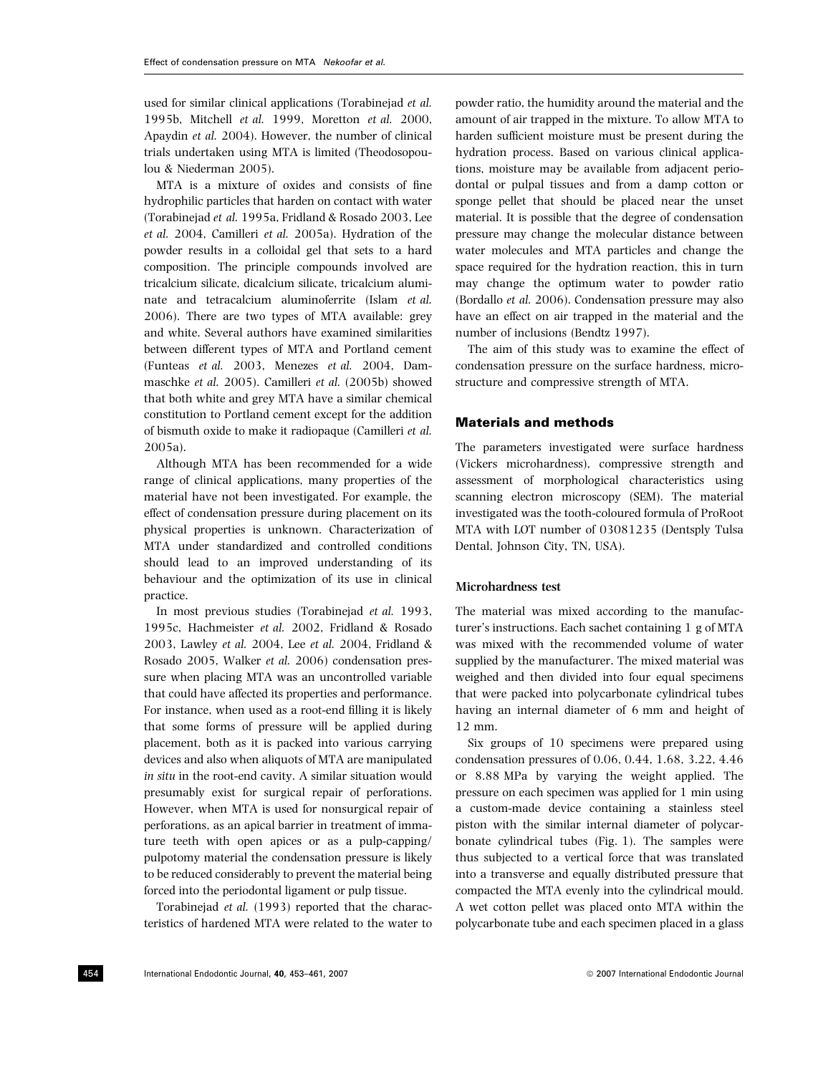used for similar clinical applications (Torabinejad et al. 1995b, Mitchell et al. 1999, Moretton et al. 2000, Apaydin et al. 2004). However, the number of clinical trials undertaken using MTA is limited (Theodosopoulou & Niederman 2005).

MTA is a mixture of oxides and consists of fine hydrophilic particles that harden on contact with water (Torabinejad et al. 1995a, Fridland & Rosado 2003, Lee et al. 2004, Camilleri et al. 2005a). Hydration of the powder results in a colloidal gel that sets to a hard composition. The principle compounds involved are tricalcium silicate, dicalcium silicate, tricalcium aluminate and tetracalcium aluminoferrite (Islam et al. 2006). There are two types of MTA available: grey and white. Several authors have examined similarities between different types of MTA and Portland cement (Funteas et al. 2003, Menezes et al. 2004, Dammaschke et al. 2005). Camilleri et al. (2005b) showed that both white and grey MTA have a similar chemical constitution to Portland cement except for the addition of bismuth oxide to make it radiopaque (Camilleri et al. 2005a).

Although MTA has been recommended for a wide range of clinical applications, many properties of the material have not been investigated. For example, the effect of condensation pressure during placement on its physical properties is unknown. Characterization of MTA under standardized and controlled conditions should lead to an improved understanding of its behaviour and the optimization of its use in clinical practice.

In most previous studies (Torabinejad et al. 1993, 1995c, Hachmeister et al. 2002, Fridland & Rosado 2003, Lawley et al. 2004, Lee et al. 2004, Fridland & Rosado 2005, Walker et al. 2006) condensation pressure when placing MTA was an uncontrolled variable that could have affected its properties and performance. For instance, when used as a root-end filling it is likely that some forms of pressure will be applied during placement, both as it is packed into various carrying devices and also when aliquots of MTA are manipulated in situ in the root-end cavity. A similar situation would presumably exist for surgical repair of perforations. However, when MTA is used for nonsurgical repair of perforations, as an apical barrier in treatment of immature teeth with open apices or as a pulp-capping/ pulpotomy material the condensation pressure is likely to be reduced considerably to prevent the material being forced into the periodontal ligament or pulp tissue.

Torabinejad et al. (1993) reported that the characteristics of hardened MTA were related to the water to powder ratio, the humidity around the material and the amount of air trapped in the mixture. To allow MTA to harden sufficient moisture must be present during the hydration process. Based on various clinical applications, moisture may be available from adjacent periodontal or pulpal tissues and from a damp cotton or sponge pellet that should be placed near the unset material. It is possible that the degree of condensation pressure may change the molecular distance between water molecules and MTA particles and change the space required for the hydration reaction, this in turn may change the optimum water to powder ratio (Bordallo et al. 2006). Condensation pressure may also have an effect on air trapped in the material and the number of inclusions (Bendtz 1997).

The aim of this study was to examine the effect of condensation pressure on the surface hardness, microstructure and compressive strength of MTA.

# Materials and methods

The parameters investigated were surface hardness (Vickers microhardness), compressive strength and assessment of morphological characteristics using scanning electron microscopy (SEM). The material investigated was the tooth-coloured formula of ProRoot MTA with LOT number of 03081235 (Dentsply Tulsa Dental, Johnson City, TN, USA).

# Microhardness test

The material was mixed according to the manufacturer's instructions. Each sachet containing 1 g of MTA was mixed with the recommended volume of water supplied by the manufacturer. The mixed material was weighed and then divided into four equal specimens that were packed into polycarbonate cylindrical tubes having an internal diameter of 6 mm and height of 12 mm.

Six groups of 10 specimens were prepared using condensation pressures of 0.06, 0.44, 1.68, 3.22, 4.46 or 8.88 MPa by varying the weight applied. The pressure on each specimen was applied for 1 min using a custom-made device containing a stainless steel piston with the similar internal diameter of polycarbonate cylindrical tubes (Fig. 1). The samples were thus subjected to a vertical force that was translated into a transverse and equally distributed pressure that compacted the MTA evenly into the cylindrical mould. A wet cotton pellet was placed onto MTA within the polycarbonate tube and each specimen placed in a glass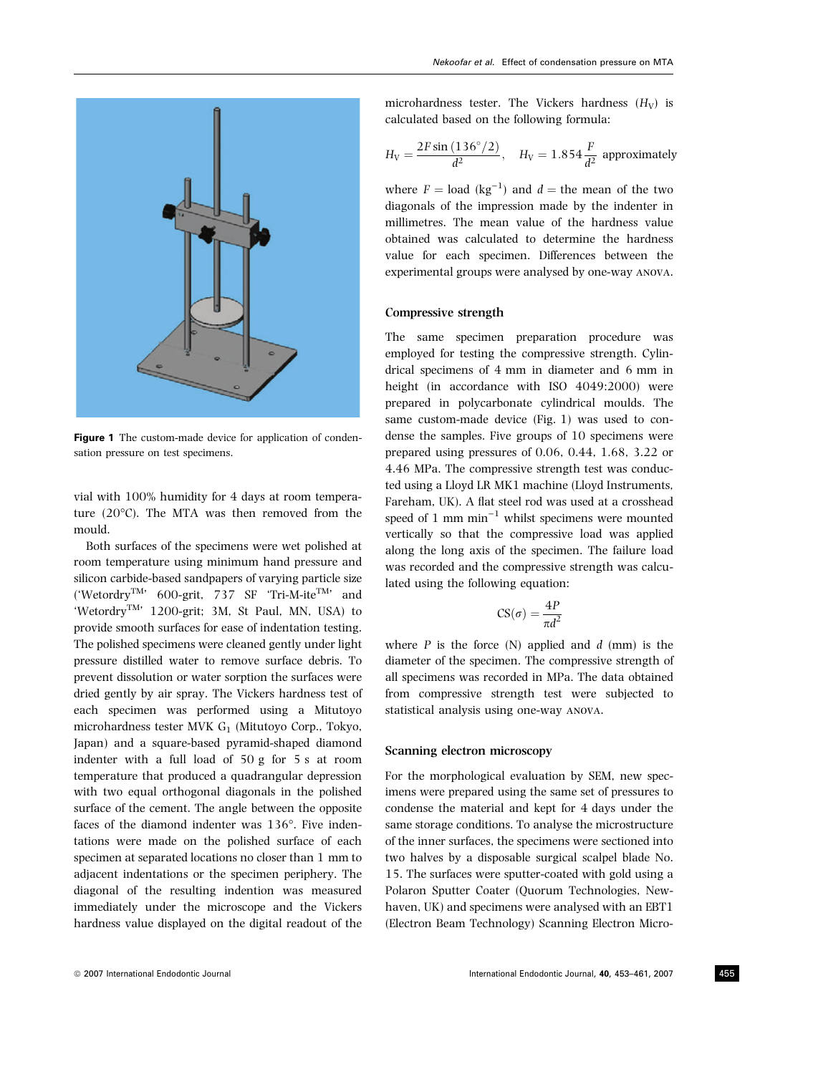

Figure 1 The custom-made device for application of condensation pressure on test specimens.

vial with 100% humidity for 4 days at room temperature  $(20^{\circ}$ C). The MTA was then removed from the mould.

Both surfaces of the specimens were wet polished at room temperature using minimum hand pressure and silicon carbide-based sandpapers of varying particle size  $('Wetordry^{TM}$ <sup>,</sup> 600-grit, 737 SF 'Tri-M-ite<sup>TM</sup>' and 'WetordryTM' 1200-grit; 3M, St Paul, MN, USA) to provide smooth surfaces for ease of indentation testing. The polished specimens were cleaned gently under light pressure distilled water to remove surface debris. To prevent dissolution or water sorption the surfaces were dried gently by air spray. The Vickers hardness test of each specimen was performed using a Mitutoyo microhardness tester MVK  $G_1$  (Mitutoyo Corp., Tokyo, Japan) and a square-based pyramid-shaped diamond indenter with a full load of 50 g for 5 s at room temperature that produced a quadrangular depression with two equal orthogonal diagonals in the polished surface of the cement. The angle between the opposite faces of the diamond indenter was 136°. Five indentations were made on the polished surface of each specimen at separated locations no closer than 1 mm to adjacent indentations or the specimen periphery. The diagonal of the resulting indention was measured immediately under the microscope and the Vickers hardness value displayed on the digital readout of the microhardness tester. The Vickers hardness  $(H_V)$  is calculated based on the following formula:

$$
H_V = \frac{2F\sin\left(136^\circ/2\right)}{d^2}, \quad H_V = 1.854\frac{F}{d^2} \text{ approximately}
$$

where  $F =$  load (kg<sup>-1</sup>) and  $d =$  the mean of the two diagonals of the impression made by the indenter in millimetres. The mean value of the hardness value obtained was calculated to determine the hardness value for each specimen. Differences between the experimental groups were analysed by one-way anova.

#### Compressive strength

The same specimen preparation procedure was employed for testing the compressive strength. Cylindrical specimens of 4 mm in diameter and 6 mm in height (in accordance with ISO 4049:2000) were prepared in polycarbonate cylindrical moulds. The same custom-made device (Fig. 1) was used to condense the samples. Five groups of 10 specimens were prepared using pressures of 0.06, 0.44, 1.68, 3.22 or 4.46 MPa. The compressive strength test was conducted using a Lloyd LR MK1 machine (Lloyd Instruments, Fareham, UK). A flat steel rod was used at a crosshead speed of 1 mm  $min^{-1}$  whilst specimens were mounted vertically so that the compressive load was applied along the long axis of the specimen. The failure load was recorded and the compressive strength was calculated using the following equation:

$$
CS(\sigma) = \frac{4P}{\pi d^2}
$$

where  $P$  is the force  $(N)$  applied and  $d$  (mm) is the diameter of the specimen. The compressive strength of all specimens was recorded in MPa. The data obtained from compressive strength test were subjected to statistical analysis using one-way anova.

#### Scanning electron microscopy

For the morphological evaluation by SEM, new specimens were prepared using the same set of pressures to condense the material and kept for 4 days under the same storage conditions. To analyse the microstructure of the inner surfaces, the specimens were sectioned into two halves by a disposable surgical scalpel blade No. 15. The surfaces were sputter-coated with gold using a Polaron Sputter Coater (Quorum Technologies, Newhaven, UK) and specimens were analysed with an EBT1 (Electron Beam Technology) Scanning Electron Micro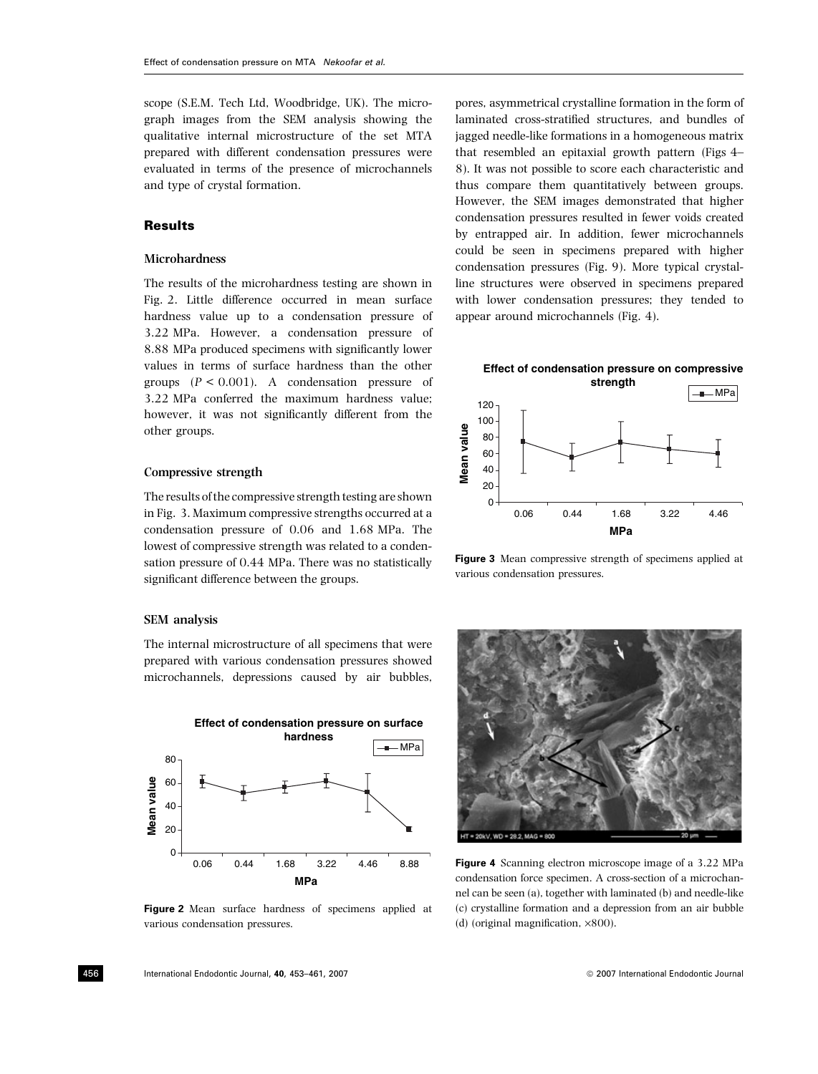scope (S.E.M. Tech Ltd, Woodbridge, UK). The micrograph images from the SEM analysis showing the qualitative internal microstructure of the set MTA prepared with different condensation pressures were evaluated in terms of the presence of microchannels and type of crystal formation.

# Results

# Microhardness

The results of the microhardness testing are shown in Fig. 2. Little difference occurred in mean surface hardness value up to a condensation pressure of 3.22 MPa. However, a condensation pressure of 8.88 MPa produced specimens with significantly lower values in terms of surface hardness than the other groups  $(P < 0.001)$ . A condensation pressure of 3.22 MPa conferred the maximum hardness value; however, it was not significantly different from the other groups.

#### Compressive strength

The results of the compressive strength testing are shown in Fig. 3. Maximum compressive strengths occurred at a condensation pressure of 0.06 and 1.68 MPa. The lowest of compressive strength was related to a condensation pressure of 0.44 MPa. There was no statistically significant difference between the groups.

#### SEM analysis

The internal microstructure of all specimens that were prepared with various condensation pressures showed microchannels, depressions caused by air bubbles,



Figure 2 Mean surface hardness of specimens applied at various condensation pressures.

pores, asymmetrical crystalline formation in the form of laminated cross-stratified structures, and bundles of jagged needle-like formations in a homogeneous matrix that resembled an epitaxial growth pattern (Figs 4– 8). It was not possible to score each characteristic and thus compare them quantitatively between groups. However, the SEM images demonstrated that higher condensation pressures resulted in fewer voids created by entrapped air. In addition, fewer microchannels could be seen in specimens prepared with higher condensation pressures (Fig. 9). More typical crystalline structures were observed in specimens prepared with lower condensation pressures; they tended to appear around microchannels (Fig. 4).





Figure 3 Mean compressive strength of specimens applied at various condensation pressures.



**Figure 4** Scanning electron microscope image of a 3.22 MPa condensation force specimen. A cross-section of a microchannel can be seen (a), together with laminated (b) and needle-like (c) crystalline formation and a depression from an air bubble (d) (original magnification,  $\times 800$ ).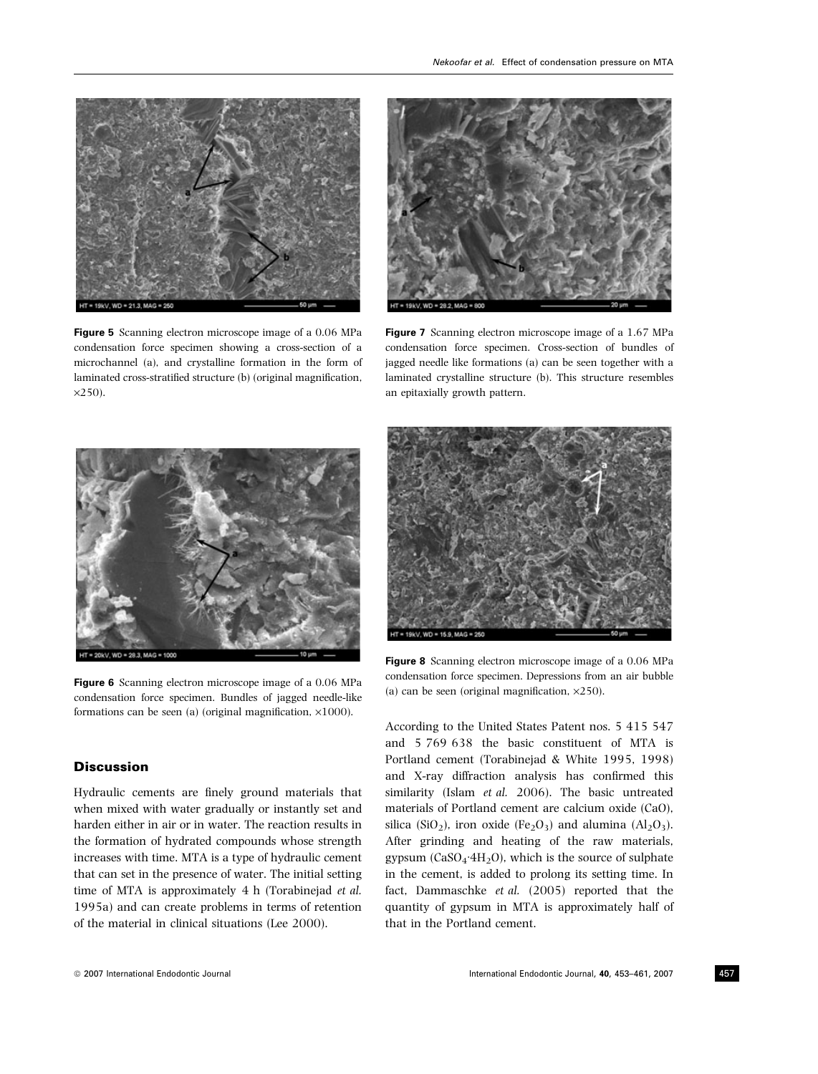

Figure 5 Scanning electron microscope image of a 0.06 MPa condensation force specimen showing a cross-section of a microchannel (a), and crystalline formation in the form of laminated cross-stratified structure (b) (original magnification,  $\times 250$ ).



Figure 7 Scanning electron microscope image of a 1.67 MPa condensation force specimen. Cross-section of bundles of jagged needle like formations (a) can be seen together with a laminated crystalline structure (b). This structure resembles an epitaxially growth pattern.



Figure 6 Scanning electron microscope image of a 0.06 MPa condensation force specimen. Bundles of jagged needle-like formations can be seen (a) (original magnification,  $\times$ 1000).

# **Discussion**

Hydraulic cements are finely ground materials that when mixed with water gradually or instantly set and harden either in air or in water. The reaction results in the formation of hydrated compounds whose strength increases with time. MTA is a type of hydraulic cement that can set in the presence of water. The initial setting time of MTA is approximately 4 h (Torabinejad et al. 1995a) and can create problems in terms of retention of the material in clinical situations (Lee 2000).



Figure 8 Scanning electron microscope image of a 0.06 MPa condensation force specimen. Depressions from an air bubble (a) can be seen (original magnification,  $\times$ 250).

According to the United States Patent nos. 5 415 547 and 5 769 638 the basic constituent of MTA is Portland cement (Torabinejad & White 1995, 1998) and X-ray diffraction analysis has confirmed this similarity (Islam et al. 2006). The basic untreated materials of Portland cement are calcium oxide (CaO), silica (SiO<sub>2</sub>), iron oxide (Fe<sub>2</sub>O<sub>3</sub>) and alumina (Al<sub>2</sub>O<sub>3</sub>). After grinding and heating of the raw materials, gypsum ( $CaSO_4$ ·4H<sub>2</sub>O), which is the source of sulphate in the cement, is added to prolong its setting time. In fact, Dammaschke et al. (2005) reported that the quantity of gypsum in MTA is approximately half of that in the Portland cement.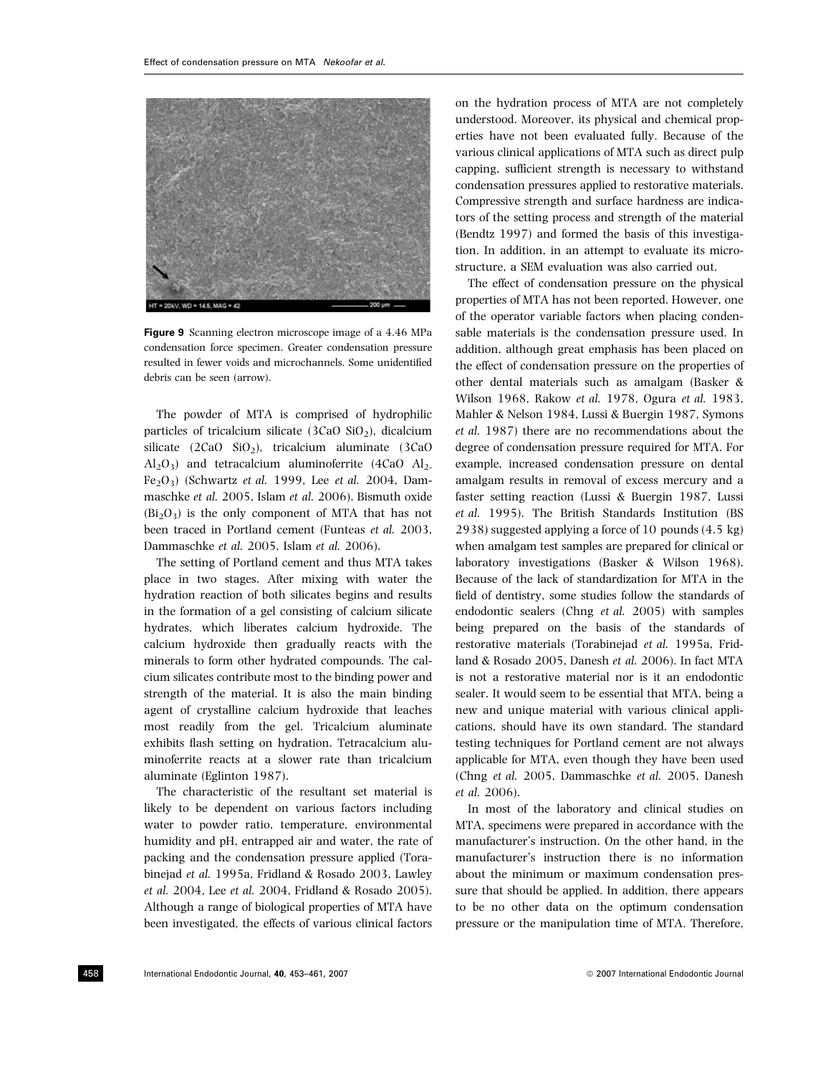

Figure 9 Scanning electron microscope image of a 4.46 MPa condensation force specimen. Greater condensation pressure resulted in fewer voids and microchannels. Some unidentified debris can be seen (arrow).

The powder of MTA is comprised of hydrophilic particles of tricalcium silicate (3CaO SiO<sub>2</sub>), dicalcium silicate (2CaO SiO<sub>2</sub>), tricalcium aluminate (3CaO  $Al_2O_3$ ) and tetracalcium aluminoferrite (4CaO  $Al_2$ . Fe<sub>2</sub>O<sub>3</sub>) (Schwartz *et al.* 1999, Lee *et al.* 2004, Dammaschke et al. 2005, Islam et al. 2006). Bismuth oxide  $(Bi<sub>2</sub>O<sub>3</sub>)$  is the only component of MTA that has not been traced in Portland cement (Funteas et al. 2003, Dammaschke et al. 2005, Islam et al. 2006).

The setting of Portland cement and thus MTA takes place in two stages. After mixing with water the hydration reaction of both silicates begins and results in the formation of a gel consisting of calcium silicate hydrates, which liberates calcium hydroxide. The calcium hydroxide then gradually reacts with the minerals to form other hydrated compounds. The calcium silicates contribute most to the binding power and strength of the material. It is also the main binding agent of crystalline calcium hydroxide that leaches most readily from the gel. Tricalcium aluminate exhibits flash setting on hydration. Tetracalcium aluminoferrite reacts at a slower rate than tricalcium aluminate (Eglinton 1987).

The characteristic of the resultant set material is likely to be dependent on various factors including water to powder ratio, temperature, environmental humidity and pH, entrapped air and water, the rate of packing and the condensation pressure applied (Torabinejad et al. 1995a, Fridland & Rosado 2003, Lawley et al. 2004, Lee et al. 2004, Fridland & Rosado 2005). Although a range of biological properties of MTA have been investigated, the effects of various clinical factors on the hydration process of MTA are not completely understood. Moreover, its physical and chemical properties have not been evaluated fully. Because of the various clinical applications of MTA such as direct pulp capping, sufficient strength is necessary to withstand condensation pressures applied to restorative materials. Compressive strength and surface hardness are indicators of the setting process and strength of the material (Bendtz 1997) and formed the basis of this investigation. In addition, in an attempt to evaluate its microstructure, a SEM evaluation was also carried out.

The effect of condensation pressure on the physical properties of MTA has not been reported. However, one of the operator variable factors when placing condensable materials is the condensation pressure used. In addition, although great emphasis has been placed on the effect of condensation pressure on the properties of other dental materials such as amalgam (Basker & Wilson 1968, Rakow et al. 1978, Ogura et al. 1983, Mahler & Nelson 1984, Lussi & Buergin 1987, Symons et al. 1987) there are no recommendations about the degree of condensation pressure required for MTA. For example, increased condensation pressure on dental amalgam results in removal of excess mercury and a faster setting reaction (Lussi & Buergin 1987, Lussi et al. 1995). The British Standards Institution (BS 2938) suggested applying a force of 10 pounds (4.5 kg) when amalgam test samples are prepared for clinical or laboratory investigations (Basker & Wilson 1968). Because of the lack of standardization for MTA in the field of dentistry, some studies follow the standards of endodontic sealers (Chng et al. 2005) with samples being prepared on the basis of the standards of restorative materials (Torabinejad et al. 1995a, Fridland & Rosado 2005, Danesh et al. 2006). In fact MTA is not a restorative material nor is it an endodontic sealer. It would seem to be essential that MTA, being a new and unique material with various clinical applications, should have its own standard. The standard testing techniques for Portland cement are not always applicable for MTA, even though they have been used (Chng et al. 2005, Dammaschke et al. 2005, Danesh et al. 2006).

In most of the laboratory and clinical studies on MTA, specimens were prepared in accordance with the manufacturer's instruction. On the other hand, in the manufacturer's instruction there is no information about the minimum or maximum condensation pressure that should be applied. In addition, there appears to be no other data on the optimum condensation pressure or the manipulation time of MTA. Therefore,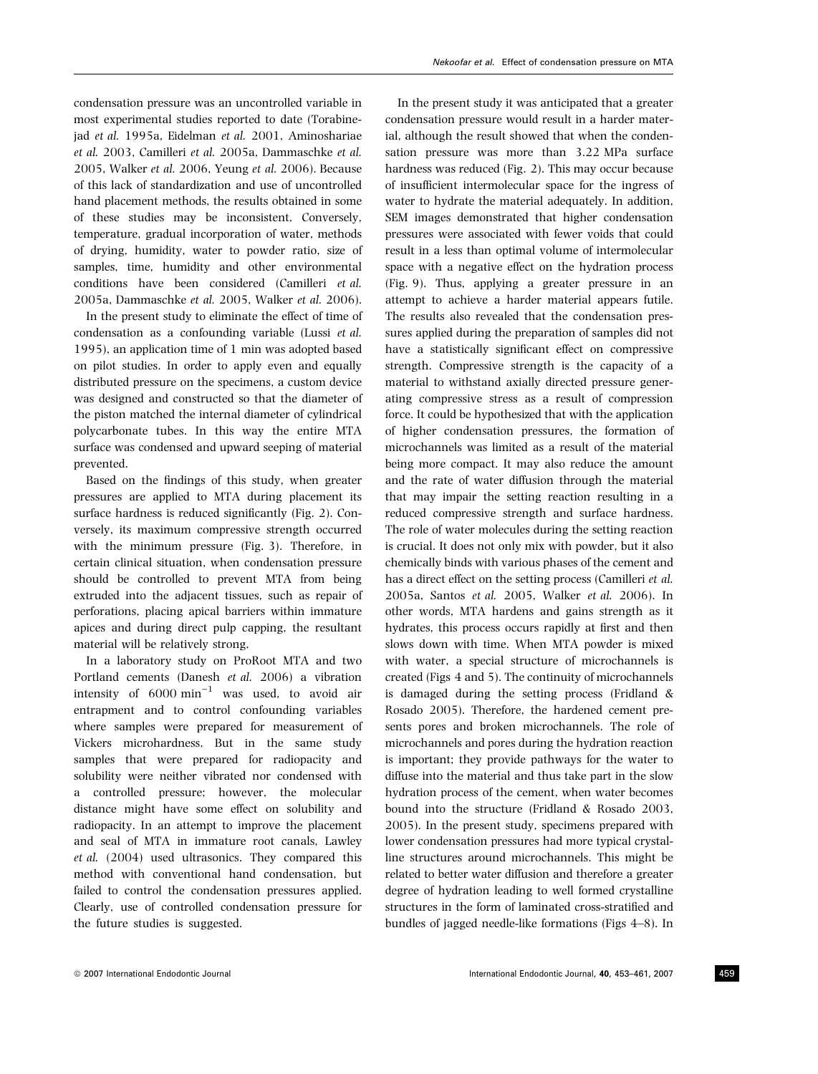condensation pressure was an uncontrolled variable in most experimental studies reported to date (Torabinejad et al. 1995a, Eidelman et al. 2001, Aminoshariae et al. 2003, Camilleri et al. 2005a, Dammaschke et al. 2005, Walker et al. 2006, Yeung et al. 2006). Because of this lack of standardization and use of uncontrolled hand placement methods, the results obtained in some of these studies may be inconsistent. Conversely, temperature, gradual incorporation of water, methods of drying, humidity, water to powder ratio, size of samples, time, humidity and other environmental conditions have been considered (Camilleri et al. 2005a, Dammaschke et al. 2005, Walker et al. 2006).

In the present study to eliminate the effect of time of condensation as a confounding variable (Lussi et al. 1995), an application time of 1 min was adopted based on pilot studies. In order to apply even and equally distributed pressure on the specimens, a custom device was designed and constructed so that the diameter of the piston matched the internal diameter of cylindrical polycarbonate tubes. In this way the entire MTA surface was condensed and upward seeping of material prevented.

Based on the findings of this study, when greater pressures are applied to MTA during placement its surface hardness is reduced significantly (Fig. 2). Conversely, its maximum compressive strength occurred with the minimum pressure (Fig. 3). Therefore, in certain clinical situation, when condensation pressure should be controlled to prevent MTA from being extruded into the adjacent tissues, such as repair of perforations, placing apical barriers within immature apices and during direct pulp capping, the resultant material will be relatively strong.

In a laboratory study on ProRoot MTA and two Portland cements (Danesh et al. 2006) a vibration intensity of  $6000 \text{ min}^{-1}$  was used, to avoid air entrapment and to control confounding variables where samples were prepared for measurement of Vickers microhardness. But in the same study samples that were prepared for radiopacity and solubility were neither vibrated nor condensed with a controlled pressure; however, the molecular distance might have some effect on solubility and radiopacity. In an attempt to improve the placement and seal of MTA in immature root canals, Lawley et al. (2004) used ultrasonics. They compared this method with conventional hand condensation, but failed to control the condensation pressures applied. Clearly, use of controlled condensation pressure for the future studies is suggested.

Nekoofar et al. Effect of condensation pressure on MTA

In the present study it was anticipated that a greater condensation pressure would result in a harder material, although the result showed that when the condensation pressure was more than 3.22 MPa surface hardness was reduced (Fig. 2). This may occur because of insufficient intermolecular space for the ingress of water to hydrate the material adequately. In addition, SEM images demonstrated that higher condensation pressures were associated with fewer voids that could result in a less than optimal volume of intermolecular space with a negative effect on the hydration process (Fig. 9). Thus, applying a greater pressure in an attempt to achieve a harder material appears futile. The results also revealed that the condensation pressures applied during the preparation of samples did not have a statistically significant effect on compressive strength. Compressive strength is the capacity of a material to withstand axially directed pressure generating compressive stress as a result of compression force. It could be hypothesized that with the application of higher condensation pressures, the formation of microchannels was limited as a result of the material being more compact. It may also reduce the amount and the rate of water diffusion through the material that may impair the setting reaction resulting in a reduced compressive strength and surface hardness. The role of water molecules during the setting reaction is crucial. It does not only mix with powder, but it also chemically binds with various phases of the cement and has a direct effect on the setting process (Camilleri et al. 2005a, Santos et al. 2005, Walker et al. 2006). In other words, MTA hardens and gains strength as it hydrates, this process occurs rapidly at first and then slows down with time. When MTA powder is mixed with water, a special structure of microchannels is created (Figs 4 and 5). The continuity of microchannels is damaged during the setting process (Fridland & Rosado 2005). Therefore, the hardened cement presents pores and broken microchannels. The role of microchannels and pores during the hydration reaction is important; they provide pathways for the water to diffuse into the material and thus take part in the slow hydration process of the cement, when water becomes bound into the structure (Fridland & Rosado 2003, 2005). In the present study, specimens prepared with lower condensation pressures had more typical crystalline structures around microchannels. This might be related to better water diffusion and therefore a greater degree of hydration leading to well formed crystalline structures in the form of laminated cross-stratified and bundles of jagged needle-like formations (Figs 4–8). In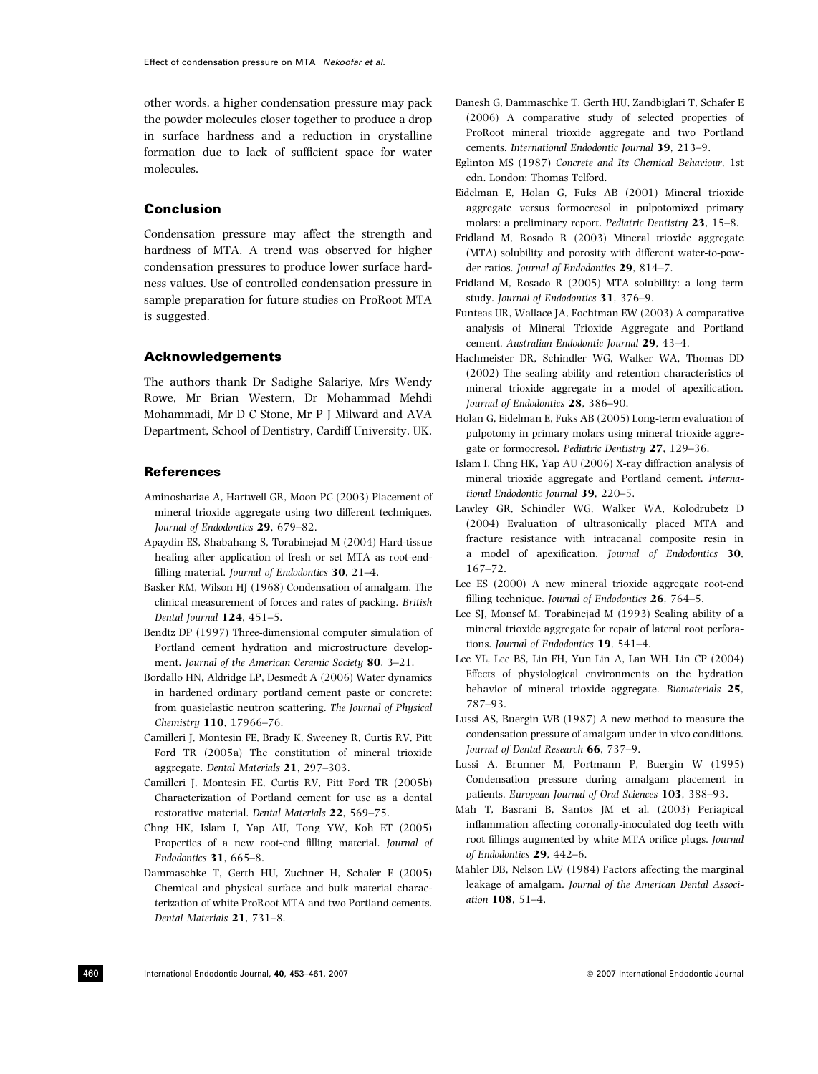other words, a higher condensation pressure may pack the powder molecules closer together to produce a drop in surface hardness and a reduction in crystalline formation due to lack of sufficient space for water molecules.

# Conclusion

Condensation pressure may affect the strength and hardness of MTA. A trend was observed for higher condensation pressures to produce lower surface hardness values. Use of controlled condensation pressure in sample preparation for future studies on ProRoot MTA is suggested.

#### Acknowledgements

The authors thank Dr Sadighe Salariye, Mrs Wendy Rowe, Mr Brian Western, Dr Mohammad Mehdi Mohammadi, Mr D C Stone, Mr P J Milward and AVA Department, School of Dentistry, Cardiff University, UK.

#### References

- Aminoshariae A, Hartwell GR, Moon PC (2003) Placement of mineral trioxide aggregate using two different techniques. Journal of Endodontics 29, 679–82.
- Apaydin ES, Shabahang S, Torabinejad M (2004) Hard-tissue healing after application of fresh or set MTA as root-endfilling material. Journal of Endodontics 30, 21–4.
- Basker RM, Wilson HJ (1968) Condensation of amalgam. The clinical measurement of forces and rates of packing. British Dental Journal 124, 451–5.
- Bendtz DP (1997) Three-dimensional computer simulation of Portland cement hydration and microstructure development. Journal of the American Ceramic Society 80, 3-21.
- Bordallo HN, Aldridge LP, Desmedt A (2006) Water dynamics in hardened ordinary portland cement paste or concrete: from quasielastic neutron scattering. The Journal of Physical Chemistry 110, 17966-76.
- Camilleri J, Montesin FE, Brady K, Sweeney R, Curtis RV, Pitt Ford TR (2005a) The constitution of mineral trioxide aggregate. Dental Materials 21, 297–303.
- Camilleri J, Montesin FE, Curtis RV, Pitt Ford TR (2005b) Characterization of Portland cement for use as a dental restorative material. Dental Materials 22, 569–75.
- Chng HK, Islam I, Yap AU, Tong YW, Koh ET (2005) Properties of a new root-end filling material. Journal of Endodontics 31, 665–8.
- Dammaschke T, Gerth HU, Zuchner H, Schafer E (2005) Chemical and physical surface and bulk material characterization of white ProRoot MTA and two Portland cements. Dental Materials 21, 731–8.
- Danesh G, Dammaschke T, Gerth HU, Zandbiglari T, Schafer E (2006) A comparative study of selected properties of ProRoot mineral trioxide aggregate and two Portland cements. International Endodontic Journal 39, 213–9.
- Eglinton MS (1987) Concrete and Its Chemical Behaviour, 1st edn. London: Thomas Telford.
- Eidelman E, Holan G, Fuks AB (2001) Mineral trioxide aggregate versus formocresol in pulpotomized primary molars: a preliminary report. Pediatric Dentistry 23, 15–8.
- Fridland M, Rosado R (2003) Mineral trioxide aggregate (MTA) solubility and porosity with different water-to-powder ratios. Journal of Endodontics 29, 814–7.
- Fridland M, Rosado R (2005) MTA solubility: a long term study. Journal of Endodontics 31, 376–9.
- Funteas UR, Wallace JA, Fochtman EW (2003) A comparative analysis of Mineral Trioxide Aggregate and Portland cement. Australian Endodontic Journal 29, 43–4.
- Hachmeister DR, Schindler WG, Walker WA, Thomas DD (2002) The sealing ability and retention characteristics of mineral trioxide aggregate in a model of apexification. Journal of Endodontics 28, 386–90.
- Holan G, Eidelman E, Fuks AB (2005) Long-term evaluation of pulpotomy in primary molars using mineral trioxide aggregate or formocresol. Pediatric Dentistry 27, 129–36.
- Islam I, Chng HK, Yap AU (2006) X-ray diffraction analysis of mineral trioxide aggregate and Portland cement. International Endodontic Journal 39, 220–5.
- Lawley GR, Schindler WG, Walker WA, Kolodrubetz D (2004) Evaluation of ultrasonically placed MTA and fracture resistance with intracanal composite resin in a model of apexification. Journal of Endodontics 30, 167–72.
- Lee ES (2000) A new mineral trioxide aggregate root-end filling technique. Journal of Endodontics 26, 764–5.
- Lee SJ, Monsef M, Torabinejad M (1993) Sealing ability of a mineral trioxide aggregate for repair of lateral root perforations. Journal of Endodontics 19, 541–4.
- Lee YL, Lee BS, Lin FH, Yun Lin A, Lan WH, Lin CP (2004) Effects of physiological environments on the hydration behavior of mineral trioxide aggregate. Biomaterials 25, 787–93.
- Lussi AS, Buergin WB (1987) A new method to measure the condensation pressure of amalgam under in vivo conditions. Journal of Dental Research 66, 737–9.
- Lussi A, Brunner M, Portmann P, Buergin W (1995) Condensation pressure during amalgam placement in patients. European Journal of Oral Sciences 103, 388–93.
- Mah T, Basrani B, Santos JM et al. (2003) Periapical inflammation affecting coronally-inoculated dog teeth with root fillings augmented by white MTA orifice plugs. Journal of Endodontics 29, 442–6.
- Mahler DB, Nelson LW (1984) Factors affecting the marginal leakage of amalgam. Journal of the American Dental Association 108, 51–4.